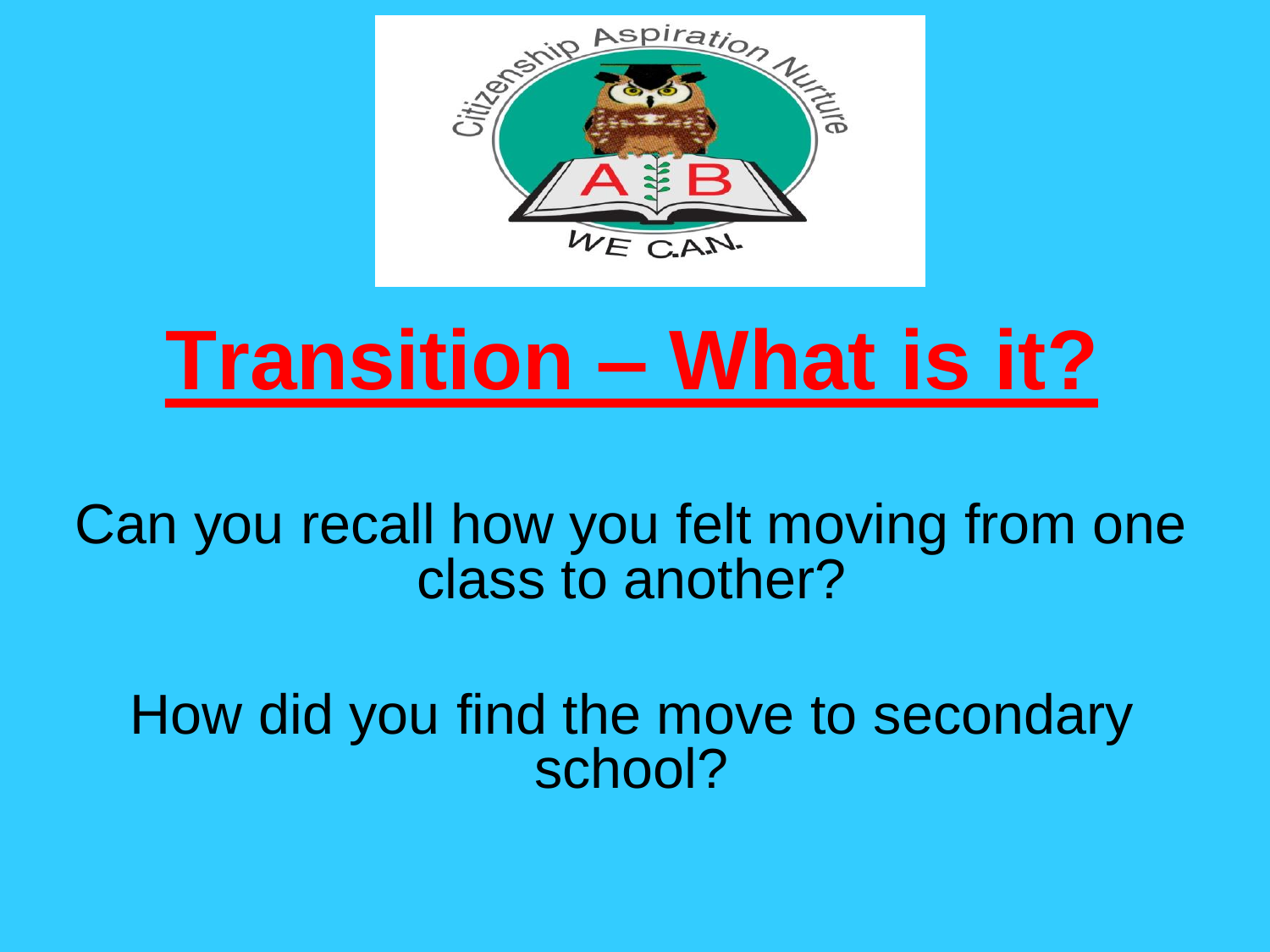

# **Transition – What is it?**

Can you recall how you felt moving from one class to another?

How did you find the move to secondary school?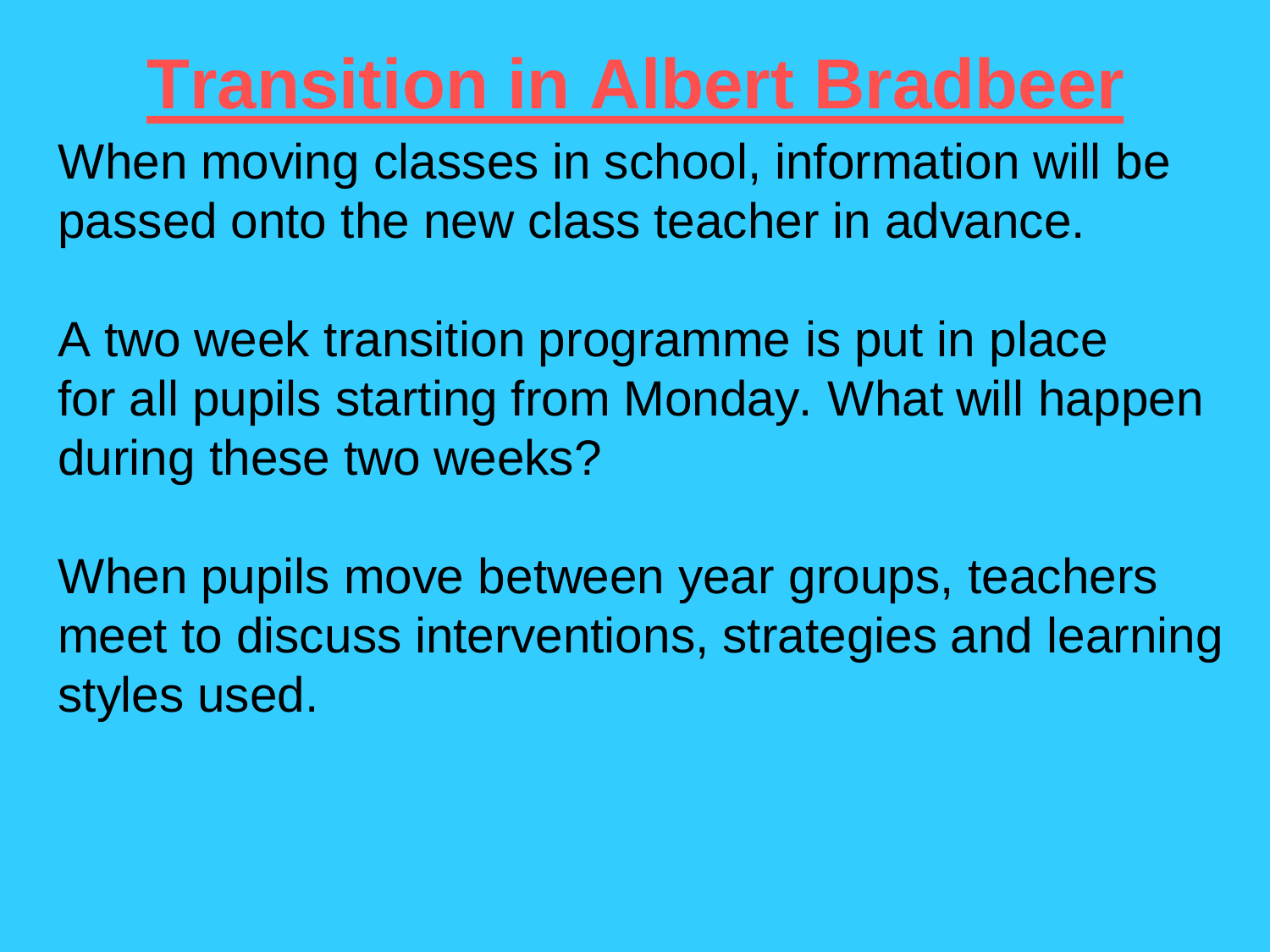## **Transition in Albert Bradbeer**

When moving classes in school, information will be passed onto the new class teacher in advance.

A two week transition programme is put in place for all pupils starting from Monday. What will happen during these two weeks?

When pupils move between year groups, teachers meet to discuss interventions, strategies and learning styles used.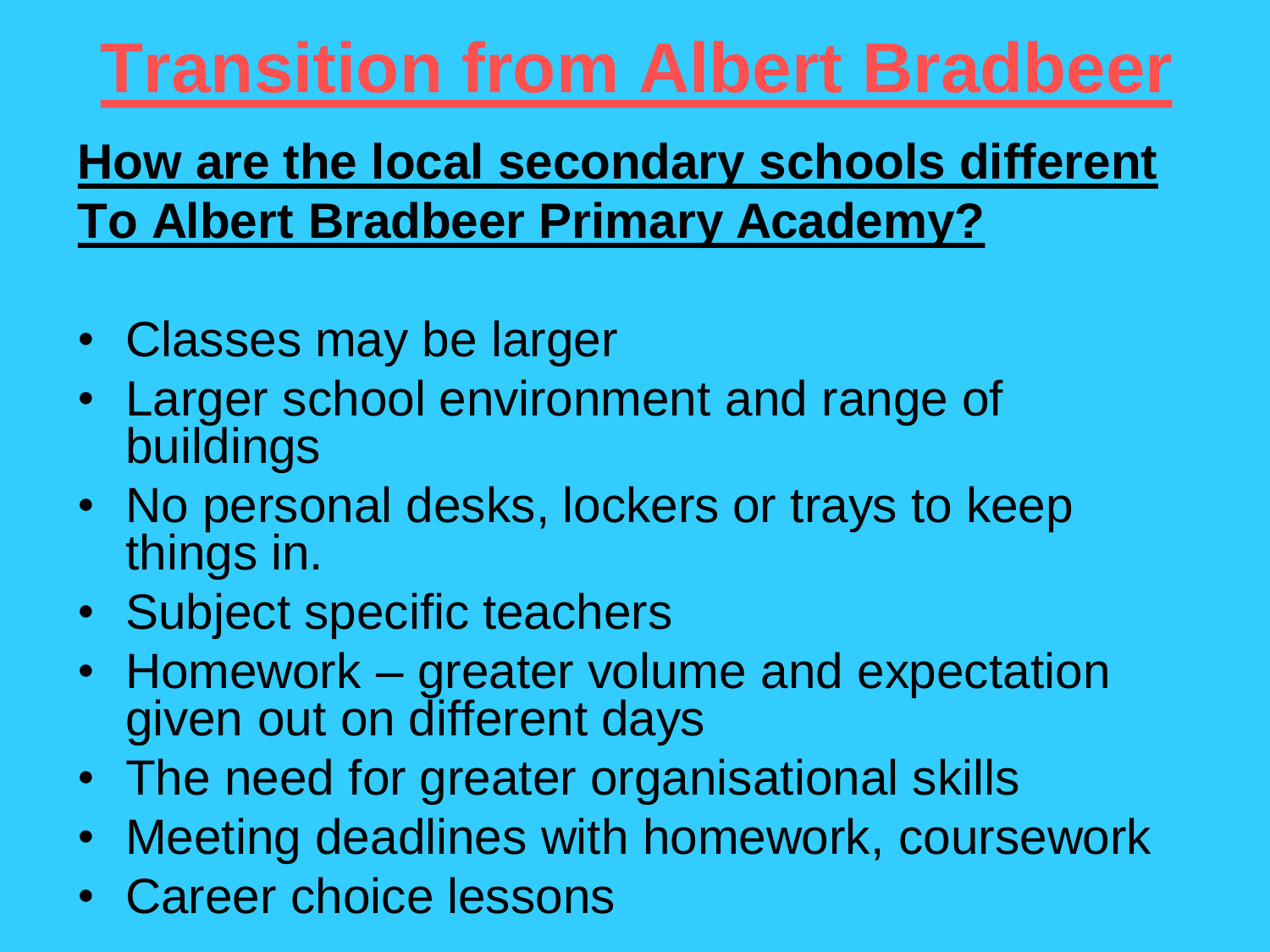# **Transition from Albert Bradbeer**

### **How are the local secondary schools different To Albert Bradbeer Primary Academy?**

- Classes may be larger
- Larger school environment and range of buildings
- No personal desks, lockers or trays to keep things in.
- Subject specific teachers
- Homework greater volume and expectation given out on different days
- The need for greater organisational skills
- Meeting deadlines with homework, coursework
- Career choice lessons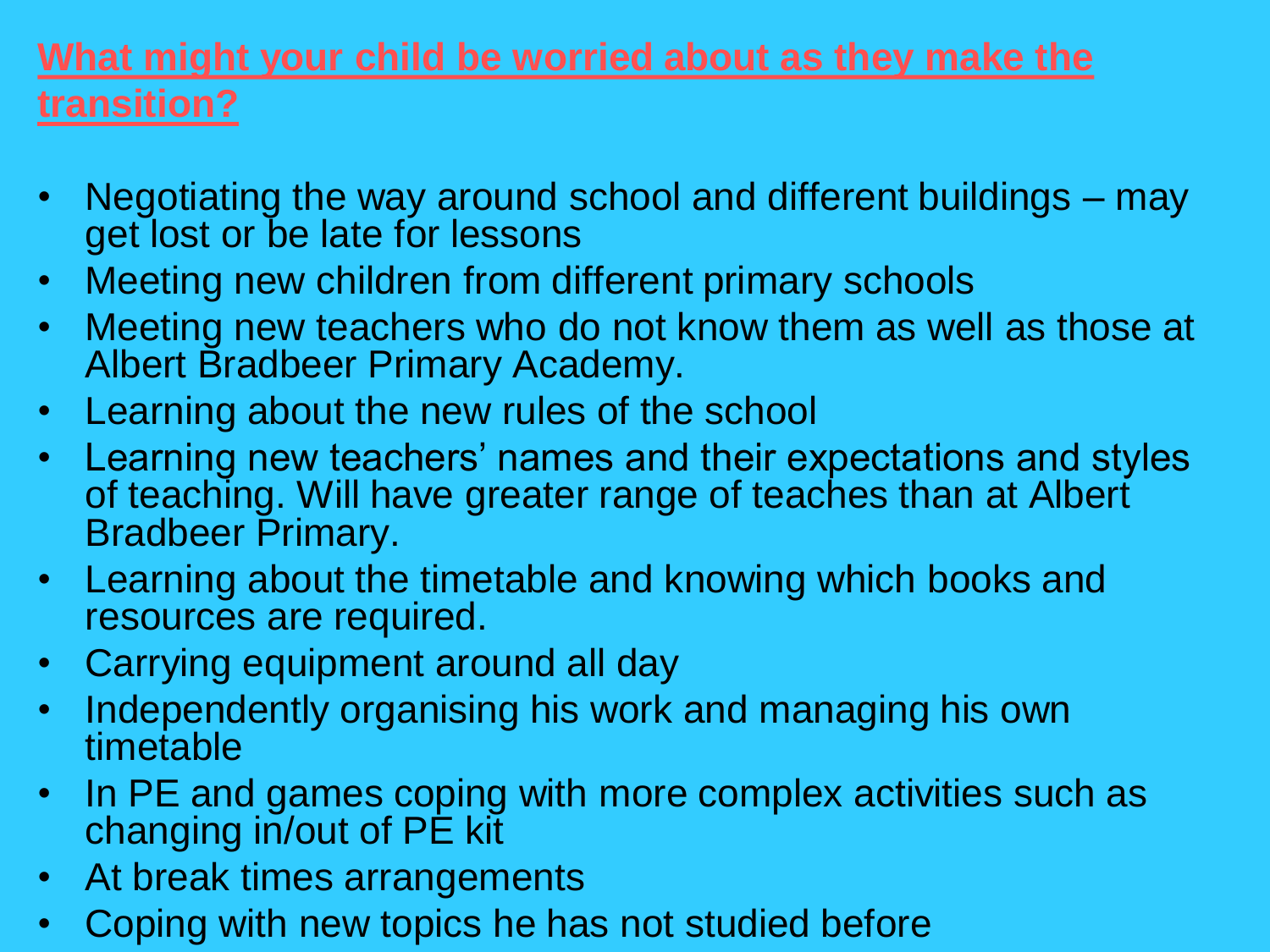#### **What might your child be worried about as they make the transition?**

- Negotiating the way around school and different buildings may get lost or be late for lessons
- Meeting new children from different primary schools
- Meeting new teachers who do not know them as well as those at Albert Bradbeer Primary Academy.
- Learning about the new rules of the school
- Learning new teachers' names and their expectations and styles of teaching. Will have greater range of teaches than at Albert Bradbeer Primary.
- Learning about the timetable and knowing which books and resources are required.
- Carrying equipment around all day
- Independently organising his work and managing his own timetable
- In PE and games coping with more complex activities such as changing in/out of PE kit
- At break times arrangements
- Coping with new topics he has not studied before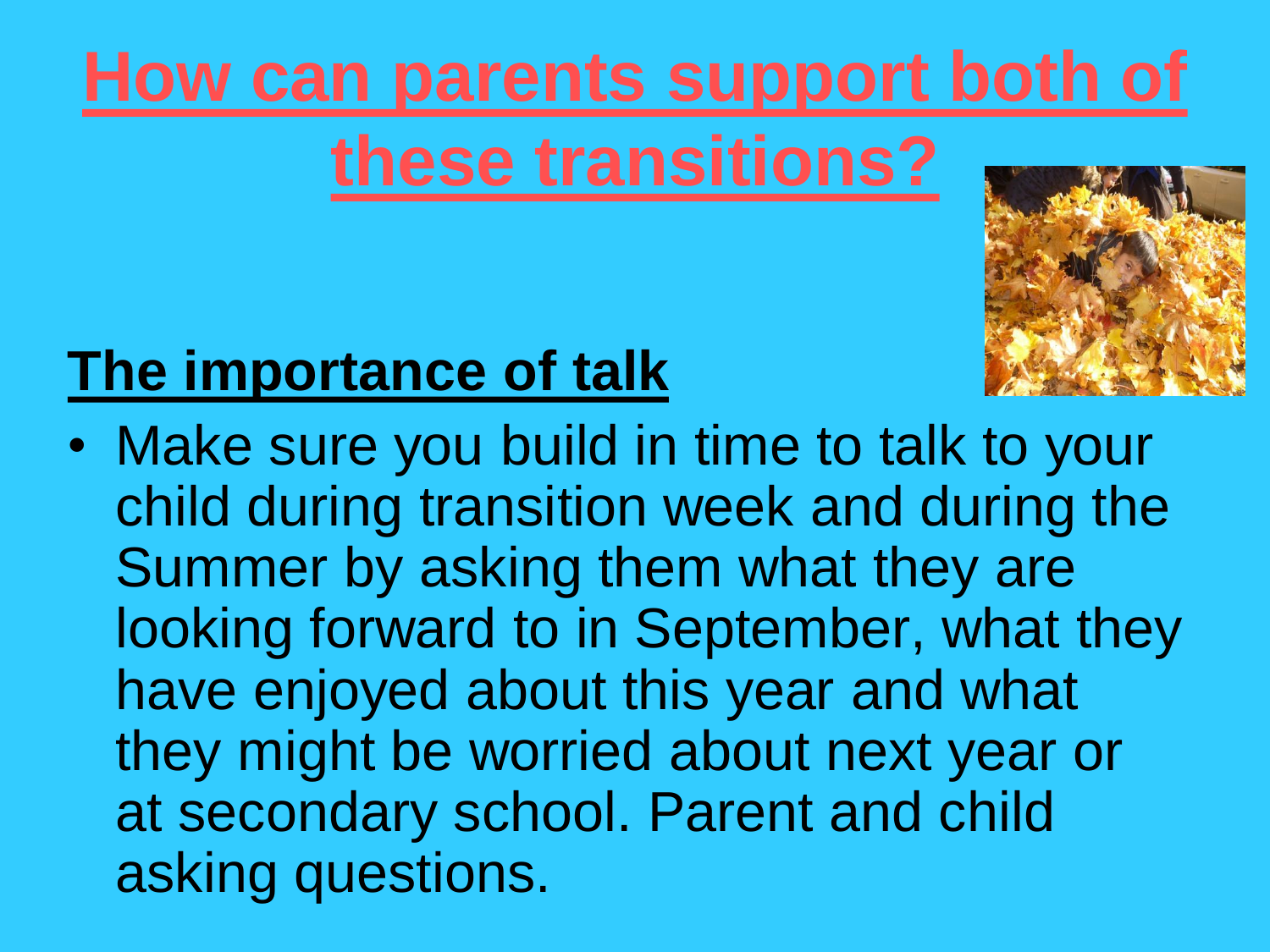# **How can parents support both of these transitions?**

## **The importance of talk**

• Make sure you build in time to talk to your child during transition week and during the Summer by asking them what they are looking forward to in September, what they have enjoyed about this year and what they might be worried about next year or at secondary school. Parent and child asking questions.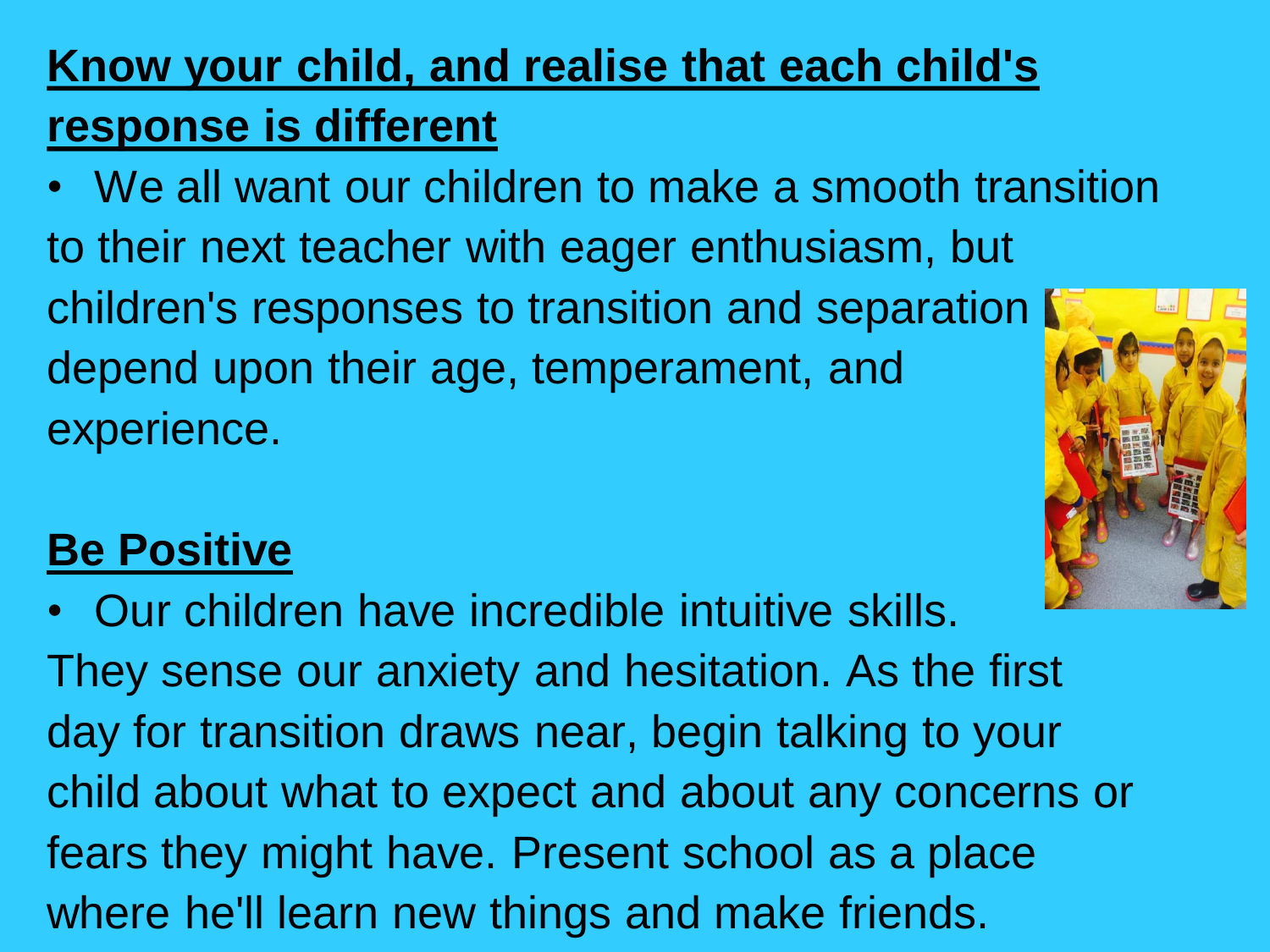#### **Know your child, and realise that each child's response is different**

• We all want our children to make a smooth transition to their next teacher with eager enthusiasm, but children's responses to transition and separation depend upon their age, temperament, and experience.

#### **Be Positive**

• Our children have incredible intuitive skills. They sense our anxiety and hesitation. As the first day for transition draws near, begin talking to your child about what to expect and about any concerns or fears they might have. Present school as a place where he'll learn new things and make friends.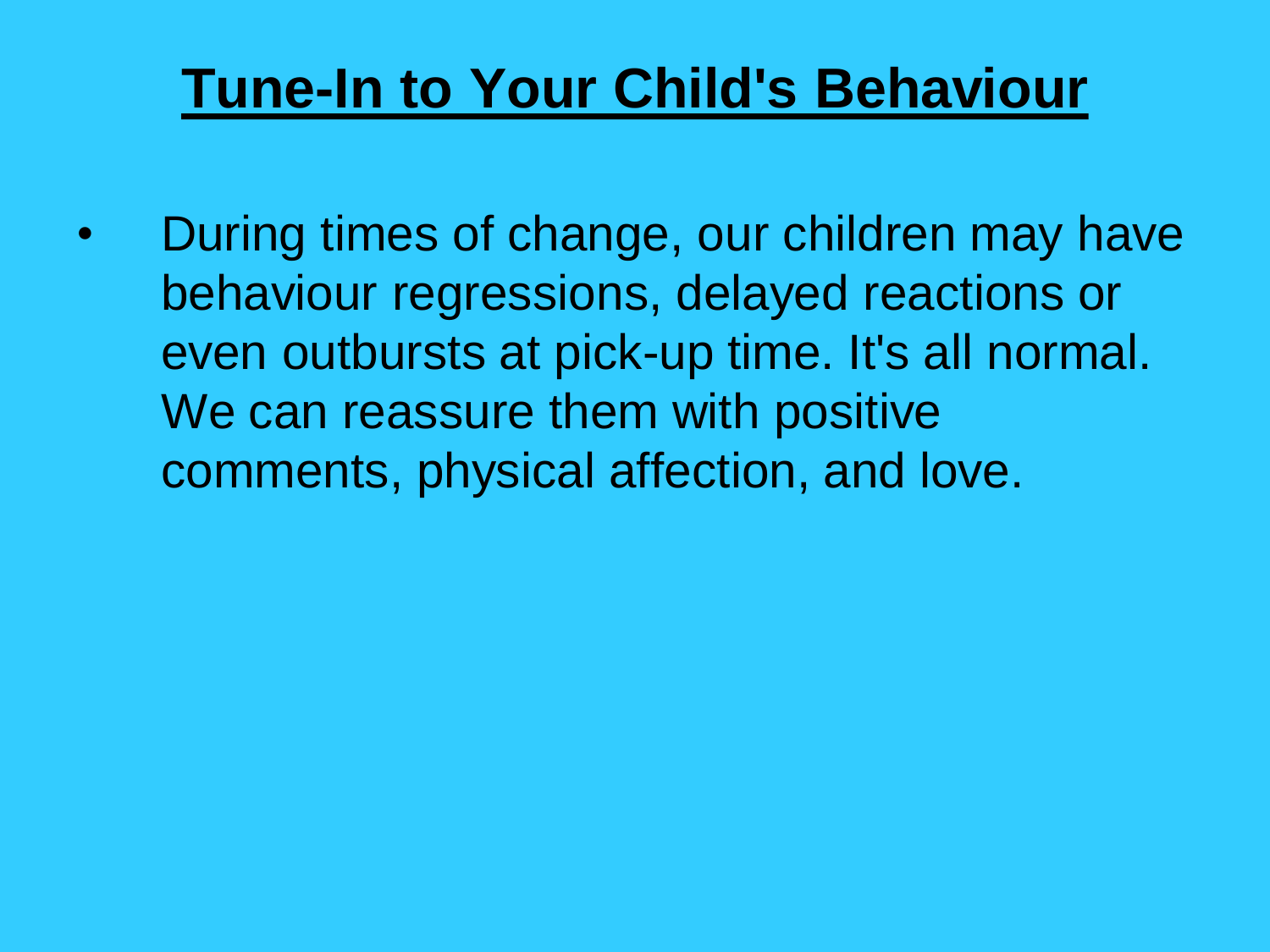## **Tune-In to Your Child's Behaviour**

• During times of change, our children may have behaviour regressions, delayed reactions or even outbursts at pick-up time. It's all normal. We can reassure them with positive comments, physical affection, and love.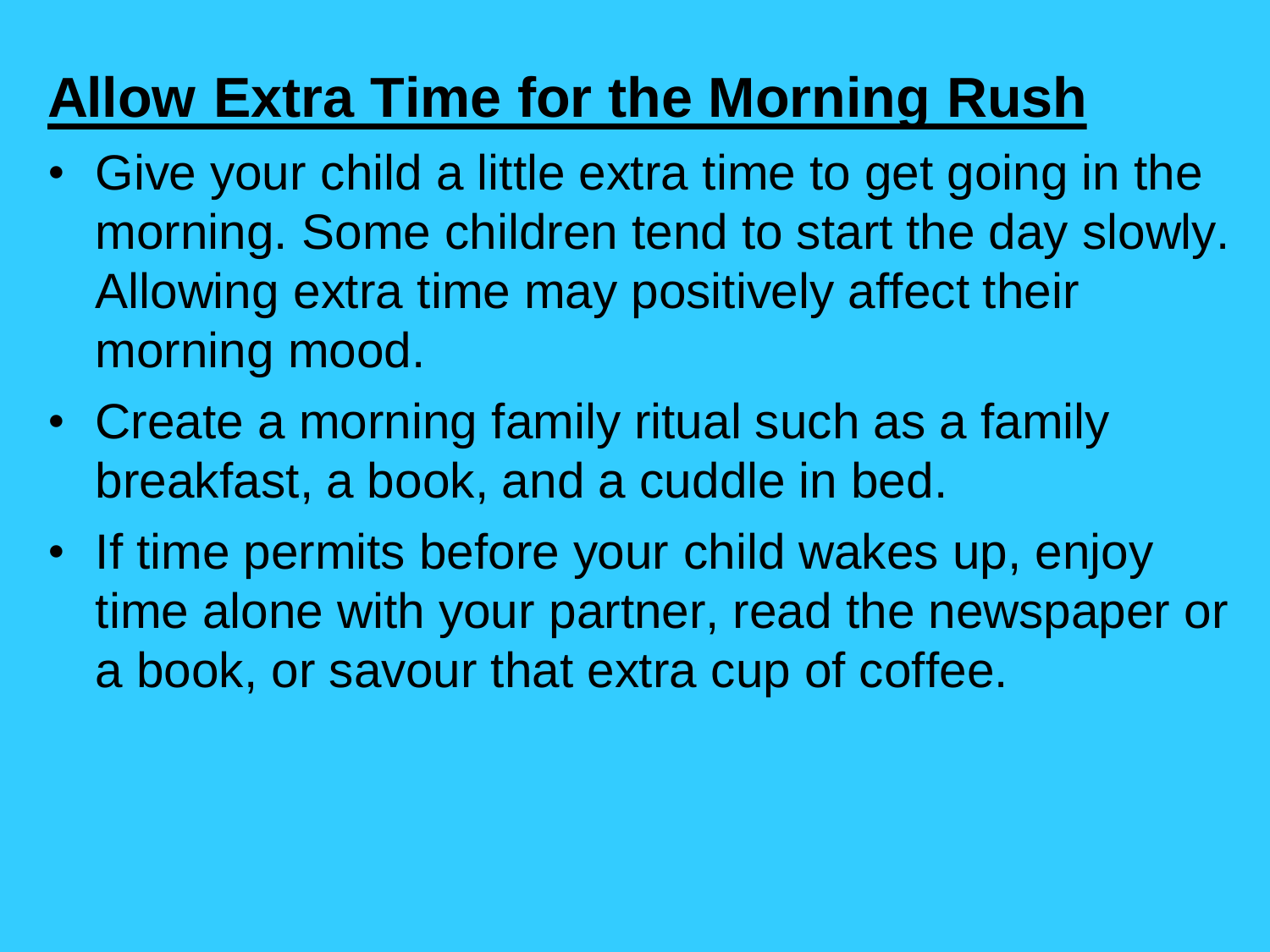## **Allow Extra Time for the Morning Rush**

- Give your child a little extra time to get going in the morning. Some children tend to start the day slowly. Allowing extra time may positively affect their morning mood.
- Create a morning family ritual such as a family breakfast, a book, and a cuddle in bed.
- If time permits before your child wakes up, enjoy time alone with your partner, read the newspaper or a book, or savour that extra cup of coffee.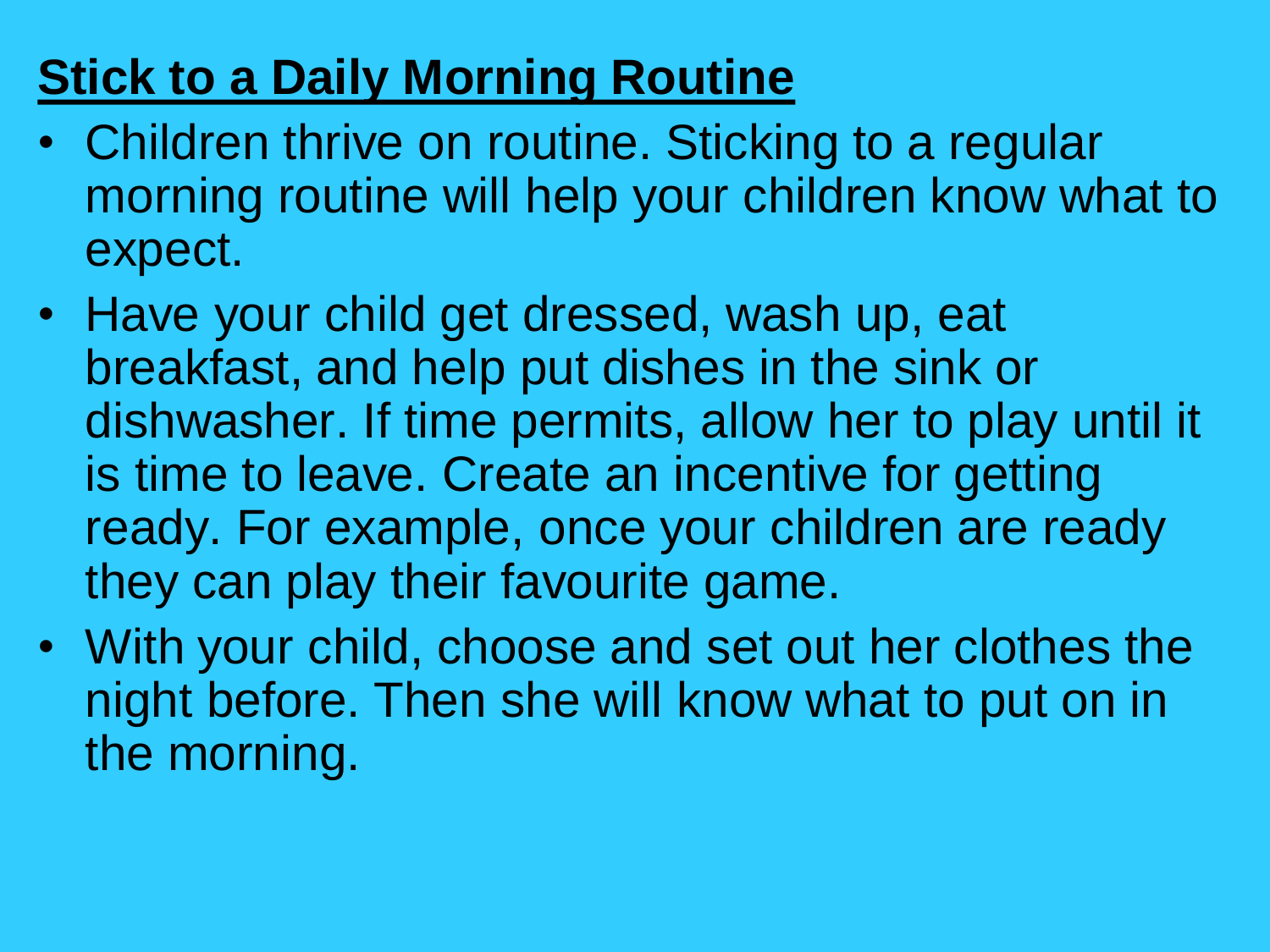### **Stick to a Daily Morning Routine**

- Children thrive on routine. Sticking to a regular morning routine will help your children know what to expect.
- Have your child get dressed, wash up, eat breakfast, and help put dishes in the sink or dishwasher. If time permits, allow her to play until it is time to leave. Create an incentive for getting ready. For example, once your children are ready they can play their favourite game.
- With your child, choose and set out her clothes the night before. Then she will know what to put on in the morning.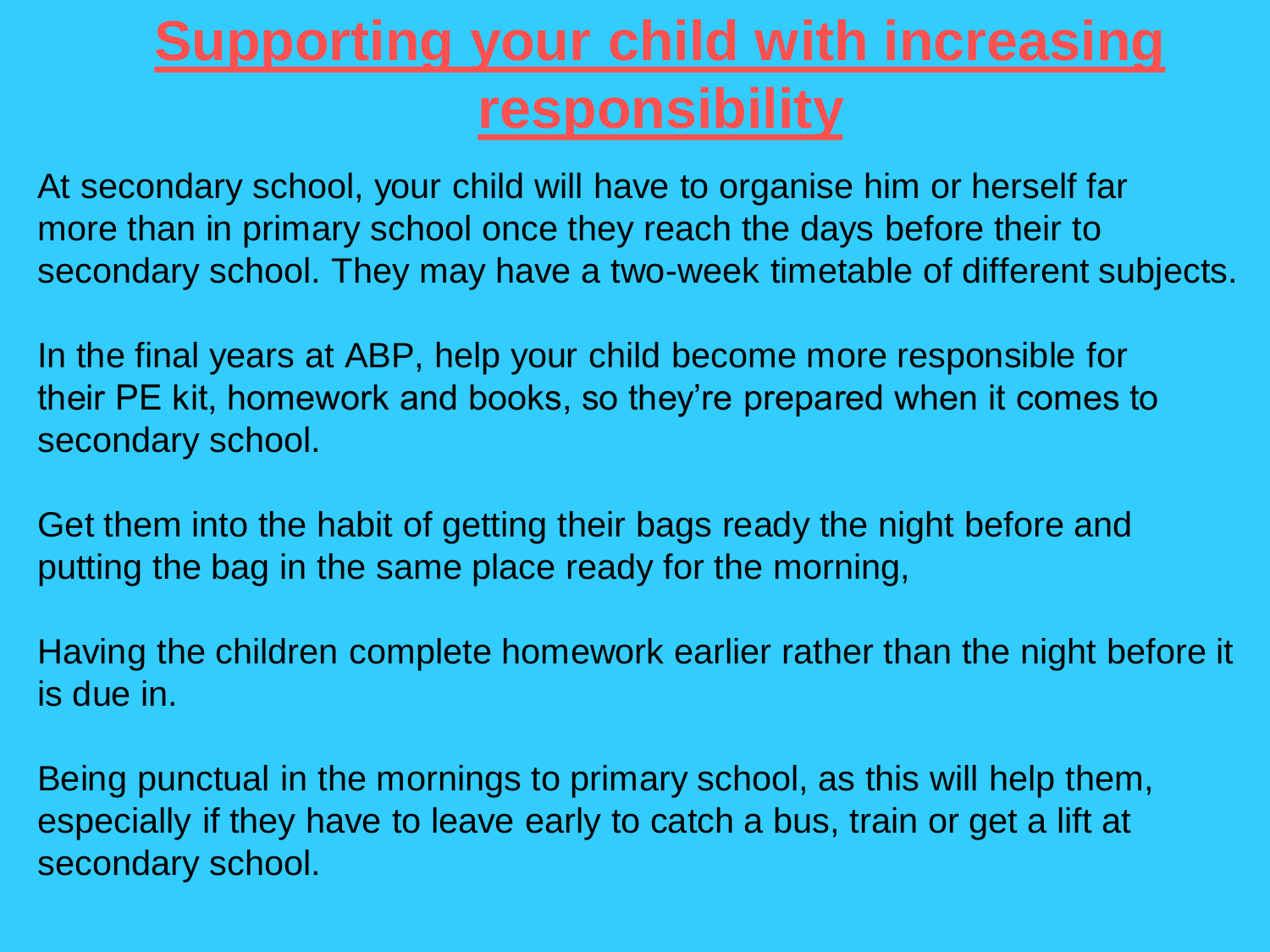## **Supporting your child with increasing responsibility**

At secondary school, your child will have to organise him or herself far more than in primary school once they reach the days before their to secondary school. They may have a two-week timetable of different subjects.

In the final years at ABP, help your child become more responsible for their PE kit, homework and books, so they're prepared when it comes to secondary school.

Get them into the habit of getting their bags ready the night before and putting the bag in the same place ready for the morning,

Having the children complete homework earlier rather than the night before it is due in.

Being punctual in the mornings to primary school, as this will help them, especially if they have to leave early to catch a bus, train or get a lift at secondary school.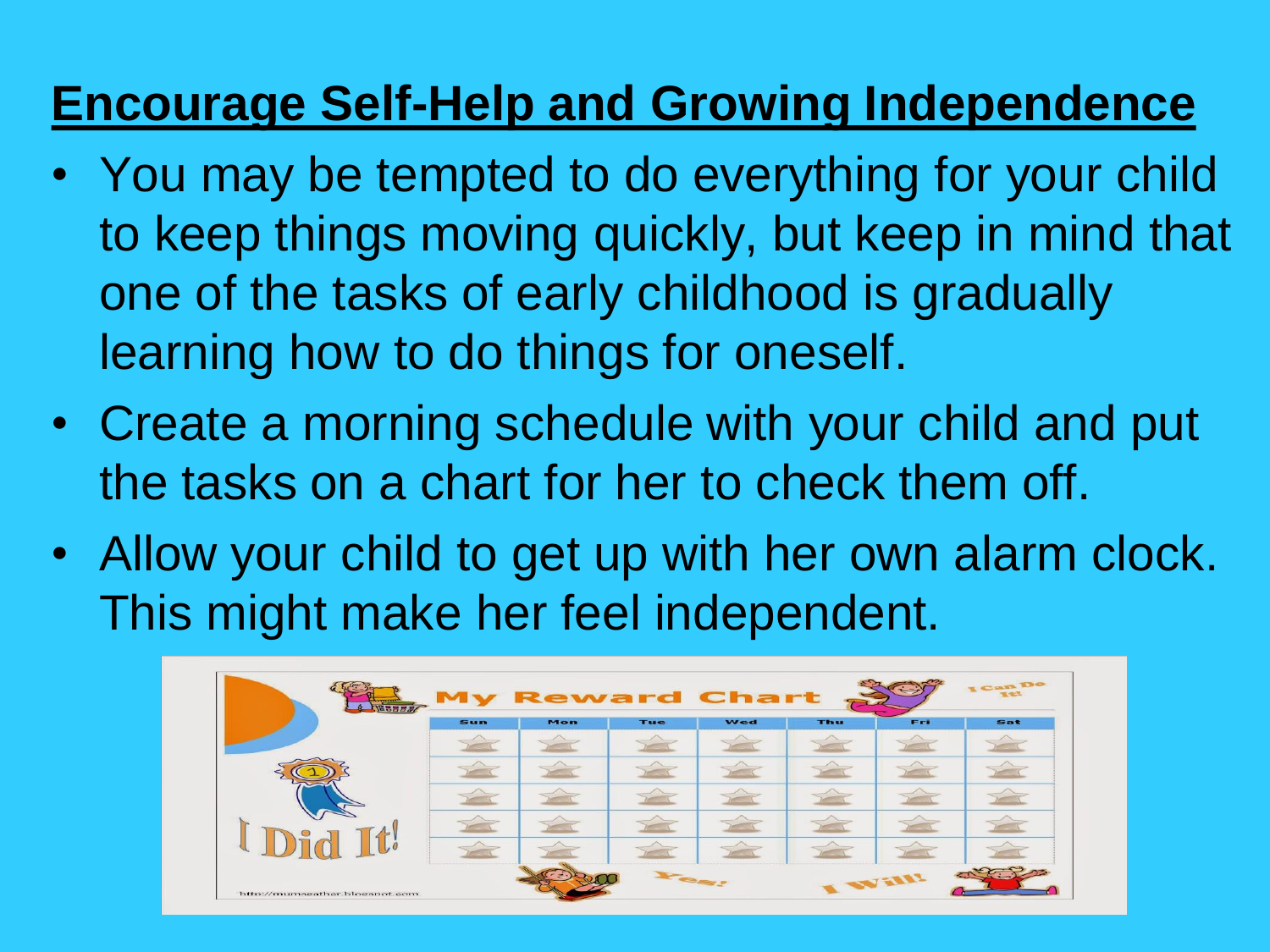#### **Encourage Self-Help and Growing Independence**

- You may be tempted to do everything for your child to keep things moving quickly, but keep in mind that one of the tasks of early childhood is gradually learning how to do things for oneself.
- Create a morning schedule with your child and put the tasks on a chart for her to check them off.
- Allow your child to get up with her own alarm clock. This might make her feel independent.